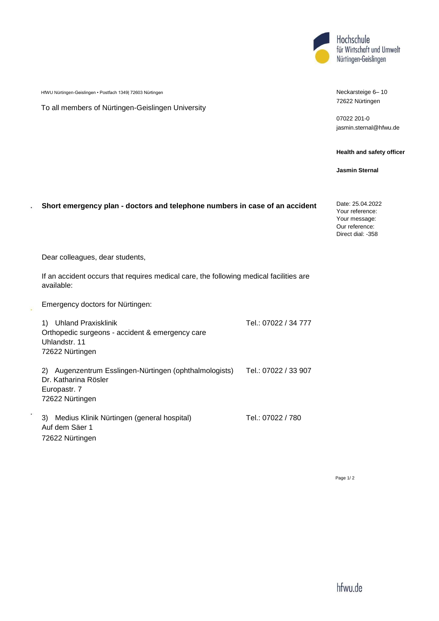

HfWU Nürtingen-Geislingen • Postfach 1349| 72603 Nürtingen

To all members of Nürtingen-Geislingen University

## Neckarsteige 6– 10 72622 Nürtingen

07022 201-0 [jasmin.sternal@hfwu.de](mailto:jasmin.sternal@hfwu.de)

## **Health and safety officer**

**Jasmin Sternal**

## **Short emergency plan - doctors and telephone numbers in case of an accident**

Date: 25.04.2022 Your reference: Your message: Our reference: Direct dial: -358

Dear colleagues, dear students,

 $\ddot{\phantom{a}}$ 

If an accident occurs that requires medical care, the following medical facilities are available:

Emergency doctors for Nürtingen:

| <b>Uhland Praxisklinik</b><br>1)<br>Orthopedic surgeons - accident & emergency care<br>Uhlandstr. 11<br>72622 Nürtingen | Tel.: 07022 / 34 777 |
|-------------------------------------------------------------------------------------------------------------------------|----------------------|
| Augenzentrum Esslingen-Nürtingen (ophthalmologists)<br>2)<br>Dr. Katharina Rösler<br>Europastr. 7<br>72622 Nürtingen    | Tel.: 07022 / 33 907 |
| Medius Klinik Nürtingen (general hospital)<br>3)<br>Auf dem Säer 1<br>72622 Nürtingen                                   | Tel.: 07022 / 780    |

Page 1/ 2